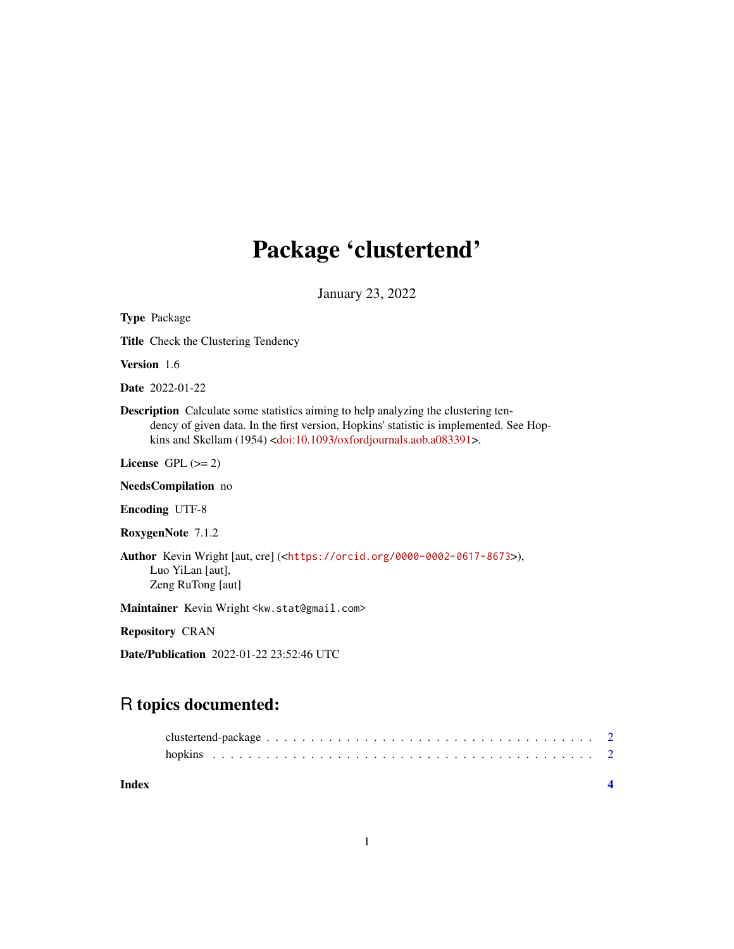# Package 'clustertend'

January 23, 2022

| <b>Type Package</b>                                                                                                                                                                                                                                                       |
|---------------------------------------------------------------------------------------------------------------------------------------------------------------------------------------------------------------------------------------------------------------------------|
| <b>Title</b> Check the Clustering Tendency                                                                                                                                                                                                                                |
| <b>Version</b> 1.6                                                                                                                                                                                                                                                        |
| <b>Date</b> 2022-01-22                                                                                                                                                                                                                                                    |
| <b>Description</b> Calculate some statistics aiming to help analyzing the clustering ten-<br>dency of given data. In the first version, Hopkins' statistic is implemented. See Hop-<br>kins and Skellam (1954) <doi:10.1093 oxfordjournals.aob.a083391="">.</doi:10.1093> |
| License $GPL (= 2)$                                                                                                                                                                                                                                                       |
| <b>NeedsCompilation</b> no                                                                                                                                                                                                                                                |
| <b>Encoding UTF-8</b>                                                                                                                                                                                                                                                     |
| RoxygenNote 7.1.2                                                                                                                                                                                                                                                         |
| <b>Author</b> Kevin Wright [aut, cre] ( <https: 0000-0002-0617-8673="" orcid.org="">),<br/>Luo YiLan [aut],<br/>Zeng RuTong [aut]</https:>                                                                                                                                |
| Maintainer Kevin Wright <kw.stat@gmail.com></kw.stat@gmail.com>                                                                                                                                                                                                           |
| <b>Repository CRAN</b>                                                                                                                                                                                                                                                    |

Date/Publication 2022-01-22 23:52:46 UTC

# R topics documented: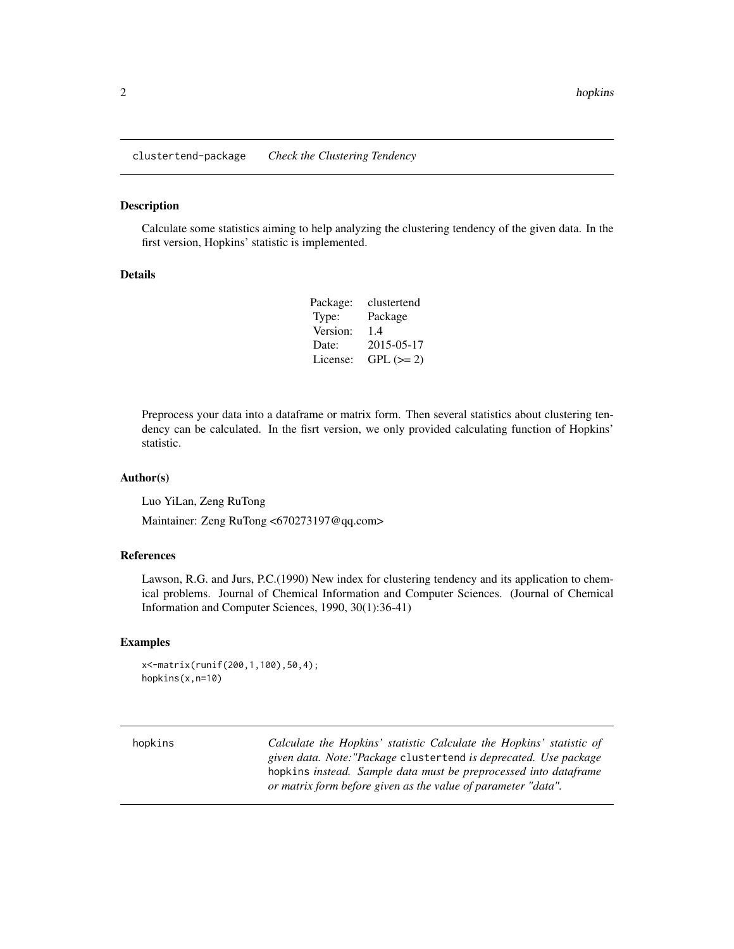<span id="page-1-0"></span>clustertend-package *Check the Clustering Tendency*

#### Description

Calculate some statistics aiming to help analyzing the clustering tendency of the given data. In the first version, Hopkins' statistic is implemented.

#### Details

| Package: | clustertend |
|----------|-------------|
| Type:    | Package     |
| Version: | 1.4         |
| Date:    | 2015-05-17  |
| License: | $GPL (= 2)$ |

Preprocess your data into a dataframe or matrix form. Then several statistics about clustering tendency can be calculated. In the fisrt version, we only provided calculating function of Hopkins' statistic.

#### Author(s)

Luo YiLan, Zeng RuTong

Maintainer: Zeng RuTong <670273197@qq.com>

#### References

Lawson, R.G. and Jurs, P.C.(1990) New index for clustering tendency and its application to chemical problems. Journal of Chemical Information and Computer Sciences. (Journal of Chemical Information and Computer Sciences, 1990, 30(1):36-41)

#### Examples

```
x<-matrix(runif(200,1,100),50,4);
hopkins(x,n=10)
```
hopkins *Calculate the Hopkins' statistic Calculate the Hopkins' statistic of given data. Note:"Package* clustertend *is deprecated. Use package* hopkins *instead. Sample data must be preprocessed into dataframe or matrix form before given as the value of parameter "data".*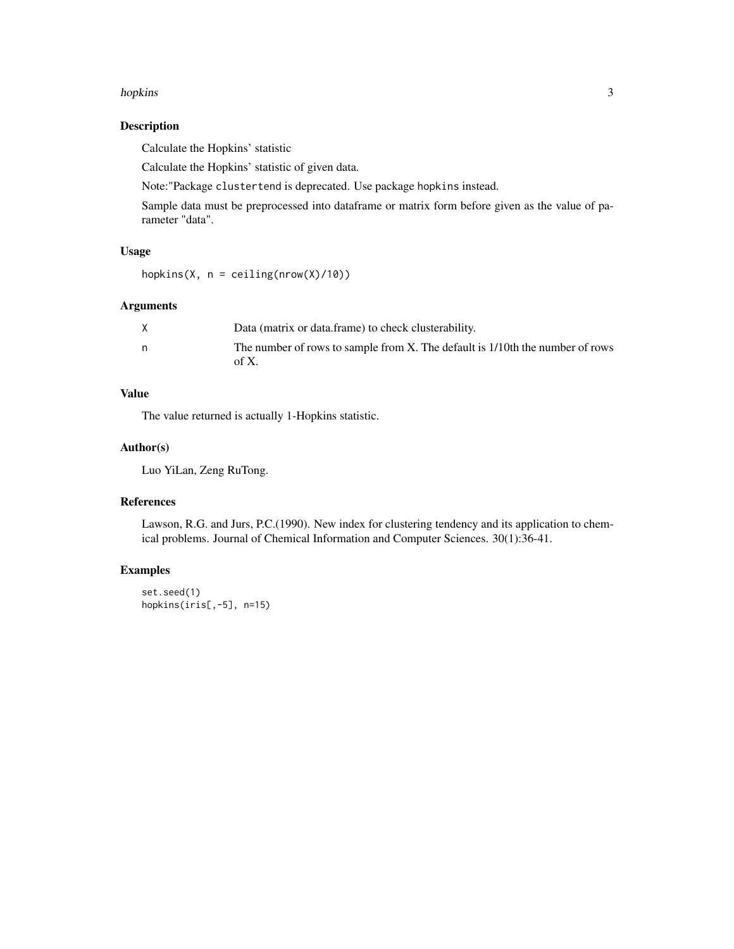#### hopkins 3

### Description

Calculate the Hopkins' statistic

Calculate the Hopkins' statistic of given data.

Note:"Package clustertend is deprecated. Use package hopkins instead.

Sample data must be preprocessed into dataframe or matrix form before given as the value of parameter "data".

# Usage

hopkins(X,  $n =$  ceiling(nrow(X)/10))

#### Arguments

| Data (matrix or data frame) to check clusterability.                                   |
|----------------------------------------------------------------------------------------|
| The number of rows to sample from X. The default is 1/10th the number of rows<br>of X. |

# Value

The value returned is actually 1-Hopkins statistic.

### Author(s)

Luo YiLan, Zeng RuTong.

# References

Lawson, R.G. and Jurs, P.C.(1990). New index for clustering tendency and its application to chemical problems. Journal of Chemical Information and Computer Sciences. 30(1):36-41.

# Examples

```
set.seed(1)
hopkins(iris[,-5], n=15)
```